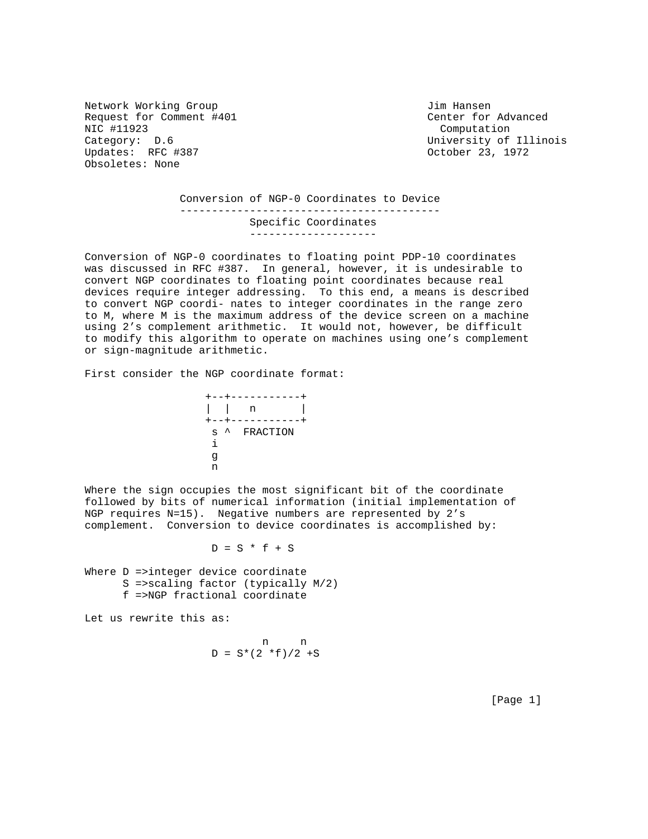Network Working Group and Month Communications of the United States of Times Hansen Request for Comment #401 Center for Advanced NIC #11923 Computation Category: D.6 University of Illinois Updates: RFC #387 October 23, 1972 Obsoletes: None

 Conversion of NGP-0 Coordinates to Device ----------------------------------------- Specific Coordinates --------------------

Conversion of NGP-0 coordinates to floating point PDP-10 coordinates was discussed in RFC #387. In general, however, it is undesirable to convert NGP coordinates to floating point coordinates because real devices require integer addressing. To this end, a means is described to convert NGP coordi- nates to integer coordinates in the range zero to M, where M is the maximum address of the device screen on a machine using 2's complement arithmetic. It would not, however, be difficult to modify this algorithm to operate on machines using one's complement or sign-magnitude arithmetic.

First consider the NGP coordinate format:

 +--+-----------+ | | n | +--+-----------+ s ^ FRACTION is a set of the set of  $\mathbf i$ gan a shekarar 1990 a 1990 a 1990 a 1990 a 1990 a 1990 a 1990 a 1990 a 1990 a 1990 a 1990 a 1990 a 1990 a 199<br>Daoine a 1990 a 1990 a 1990 a 1990 a 1990 a 1990 a 1990 a 1990 a 1990 a 1990 a 1990 a 1990 a 1990 a 1990 a 199 na ann an t-Iomraid ann an t-Iomraid an t-Iomraid an t-Iomraid an t-Iomraid an t-Iomraid an t-Iomraid an t-Iomraid an t-Iomraid an t-Iomraid an t-Iomraid an t-Iomraid an t-Iomraid an t-Iomraid an t-Iomraid an t-Iomraid an

Where the sign occupies the most significant bit of the coordinate followed by bits of numerical information (initial implementation of NGP requires N=15). Negative numbers are represented by 2's complement. Conversion to device coordinates is accomplished by:

 $D = S * f + S$ 

Where D =>integer device coordinate S =>scaling factor (typically M/2) f =>NGP fractional coordinate

Let us rewrite this as:

$$
p = S^*(2 * f)/2 + S
$$

[Page 1]